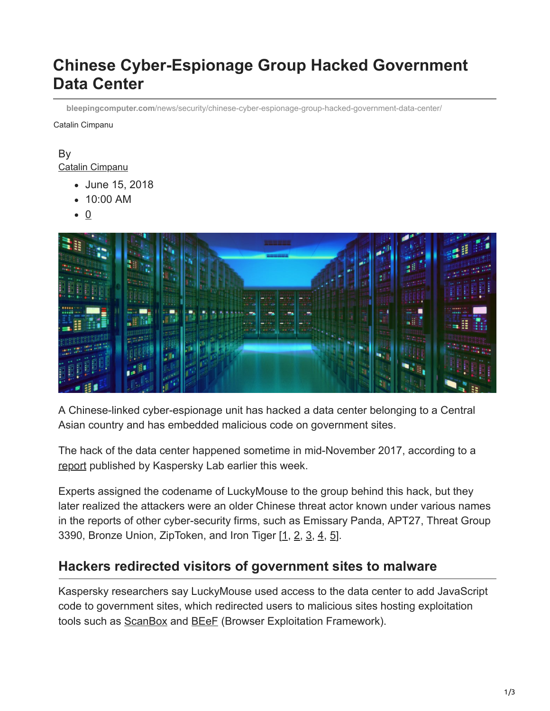# **Chinese Cyber-Espionage Group Hacked Government Data Center**

**bleepingcomputer.com**[/news/security/chinese-cyber-espionage-group-hacked-government-data-center/](https://www.bleepingcomputer.com/news/security/chinese-cyber-espionage-group-hacked-government-data-center/)

Catalin Cimpanu

#### By [Catalin Cimpanu](https://www.bleepingcomputer.com/author/catalin-cimpanu/)

- June 15, 2018
- 10:00 AM
- $\bullet$  0



A Chinese-linked cyber-espionage unit has hacked a data center belonging to a Central Asian country and has embedded malicious code on government sites.

The hack of the data center happened sometime in mid-November 2017, according to a [report](https://securelist.com/luckymouse-hits-national-data-center/86083/) published by Kaspersky Lab earlier this week.

Experts assigned the codename of LuckyMouse to the group behind this hack, but they later realized the attackers were an older Chinese threat actor known under various names in the reports of other cyber-security firms, such as Emissary Panda, APT27, Threat Group 3390, Bronze Union, ZipToken, and Iron Tiger [[1,](https://www.secureworks.com/research/bronze-union) [2](http://newsroom.trendmicro.com/blog/operation-iron-tiger-attackers-shift-east-asia-united-states), [3](https://www.secureworks.com/research/threat-group-3390-targets-organizations-for-cyberespionage), [4,](https://www.threatconnect.com/blog/threatconnect-discovers-chinese-apt-activity-in-europe/) [5](https://www.nccgroup.trust/uk/about-us/newsroom-and-events/blogs/2018/april/decoding-network-data-from-a-gh0st-rat-variant/)].

# **Hackers redirected visitors of government sites to malware**

Kaspersky researchers say LuckyMouse used access to the data center to add JavaScript code to government sites, which redirected users to malicious sites hosting exploitation tools such as **ScanBox** and **BEeF** (Browser Exploitation Framework).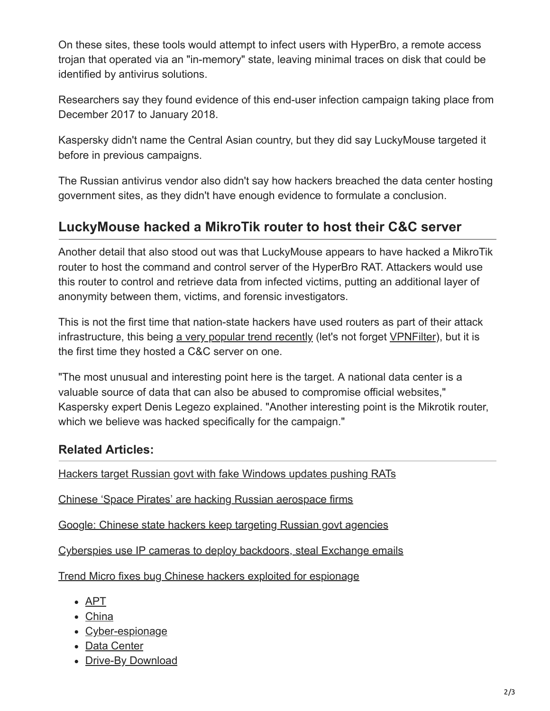On these sites, these tools would attempt to infect users with HyperBro, a remote access trojan that operated via an "in-memory" state, leaving minimal traces on disk that could be identified by antivirus solutions.

Researchers say they found evidence of this end-user infection campaign taking place from December 2017 to January 2018.

Kaspersky didn't name the Central Asian country, but they did say LuckyMouse targeted it before in previous campaigns.

The Russian antivirus vendor also didn't say how hackers breached the data center hosting government sites, as they didn't have enough evidence to formulate a conclusion.

# **LuckyMouse hacked a MikroTik router to host their C&C server**

Another detail that also stood out was that LuckyMouse appears to have hacked a MikroTik router to host the command and control server of the HyperBro RAT. Attackers would use this router to control and retrieve data from infected victims, putting an additional layer of anonymity between them, victims, and forensic investigators.

This is not the first time that nation-state hackers have used routers as part of their attack infrastructure, this being [a very popular trend recently](https://www.bleepingcomputer.com/news/security/cyber-espionage-groups-are-increasingly-leveraging-routers-in-their-attacks/) (let's not forget [VPNFilter](https://www.bleepingcomputer.com/news/security/nation-state-group-hacked-500-000-routers-to-prepare-a-cyber-attack-on-ukraine/)), but it is the first time they hosted a C&C server on one.

"The most unusual and interesting point here is the target. A national data center is a valuable source of data that can also be abused to compromise official websites," Kaspersky expert Denis Legezo explained. "Another interesting point is the Mikrotik router, which we believe was hacked specifically for the campaign."

## **Related Articles:**

[Hackers target Russian govt with fake Windows updates pushing RATs](https://www.bleepingcomputer.com/news/security/hackers-target-russian-govt-with-fake-windows-updates-pushing-rats/)

[Chinese 'Space Pirates' are hacking Russian aerospace firms](https://www.bleepingcomputer.com/news/security/chinese-space-pirates-are-hacking-russian-aerospace-firms/)

[Google: Chinese state hackers keep targeting Russian govt agencies](https://www.bleepingcomputer.com/news/security/google-chinese-state-hackers-keep-targeting-russian-govt-agencies/)

[Cyberspies use IP cameras to deploy backdoors, steal Exchange emails](https://www.bleepingcomputer.com/news/security/cyberspies-use-ip-cameras-to-deploy-backdoors-steal-exchange-emails/)

[Trend Micro fixes bug Chinese hackers exploited for espionage](https://www.bleepingcomputer.com/news/security/trend-micro-fixes-bug-chinese-hackers-exploited-for-espionage/)

- [APT](https://www.bleepingcomputer.com/tag/apt/)
- [China](https://www.bleepingcomputer.com/tag/china/)
- [Cyber-espionage](https://www.bleepingcomputer.com/tag/cyber-espionage/)
- [Data Center](https://www.bleepingcomputer.com/tag/data-center/)
- [Drive-By Download](https://www.bleepingcomputer.com/tag/drive-by-download/)